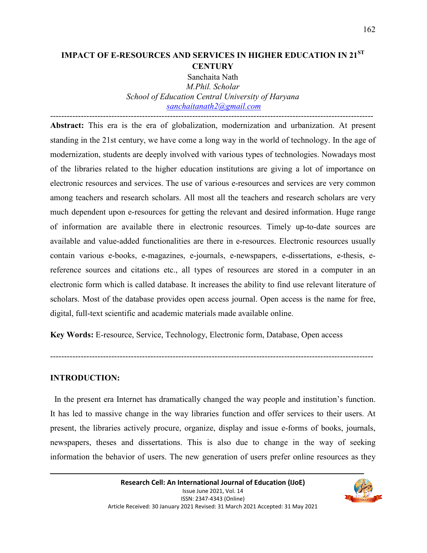# **IMPACT OF E-RESOURCES AND SERVICES IN HIGHER EDUCATION IN 21ST CENTURY**

Sanchaita Nath *M.Phil. Scholar School of Education Central University of Haryana sanchaitanath2@gmail.com*

-------------------------------------------------------------------------------------------------------------------- **Abstract:** This era is the era of globalization, modernization and urbanization. At present standing in the 21st century, we have come a long way in the world of technology. In the age of modernization, students are deeply involved with various types of technologies. Nowadays most of the libraries related to the higher education institutions are giving a lot of importance on electronic resources and services. The use of various e-resources and services are very common among teachers and research scholars. All most all the teachers and research scholars are very much dependent upon e-resources for getting the relevant and desired information. Huge range of information are available there in electronic resources. Timely up-to-date sources are available and value-added functionalities are there in e-resources. Electronic resources usually contain various e-books, e-magazines, e-journals, e-newspapers, e-dissertations, e-thesis, ereference sources and citations etc., all types of resources are stored in a computer in an electronic form which is called database. It increases the ability to find use relevant literature of scholars. Most of the database provides open access journal. Open access is the name for free, digital, full-text scientific and academic materials made available online.

**Key Words:** E-resource, Service, Technology, Electronic form, Database, Open access

## **INTRODUCTION:**

 In the present era Internet has dramatically changed the way people and institution's function. It has led to massive change in the way libraries function and offer services to their users. At present, the libraries actively procure, organize, display and issue e-forms of books, journals, newspapers, theses and dissertations. This is also due to change in the way of seeking information the behavior of users. The new generation of users prefer online resources as they

--------------------------------------------------------------------------------------------------------------------

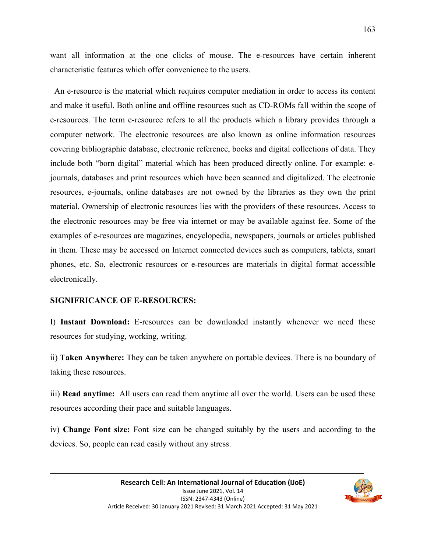want all information at the one clicks of mouse. The e-resources have certain inherent characteristic features which offer convenience to the users.

 An e-resource is the material which requires computer mediation in order to access its content and make it useful. Both online and offline resources such as CD-ROMs fall within the scope of e-resources. The term e-resource refers to all the products which a library provides through a computer network. The electronic resources are also known as online information resources covering bibliographic database, electronic reference, books and digital collections of data. They include both "born digital" material which has been produced directly online. For example: ejournals, databases and print resources which have been scanned and digitalized. The electronic resources, e-journals, online databases are not owned by the libraries as they own the print material. Ownership of electronic resources lies with the providers of these resources. Access to the electronic resources may be free via internet or may be available against fee. Some of the examples of e-resources are magazines, encyclopedia, newspapers, journals or articles published in them. These may be accessed on Internet connected devices such as computers, tablets, smart phones, etc. So, electronic resources or e-resources are materials in digital format accessible electronically.

#### **SIGNIFRICANCE OF E-RESOURCES:**

I) **Instant Download:** E-resources can be downloaded instantly whenever we need these resources for studying, working, writing.

ii) **Taken Anywhere:** They can be taken anywhere on portable devices. There is no boundary of taking these resources.

iii) **Read anytime:** All users can read them anytime all over the world. Users can be used these resources according their pace and suitable languages.

iv) **Change Font size:** Font size can be changed suitably by the users and according to the devices. So, people can read easily without any stress.

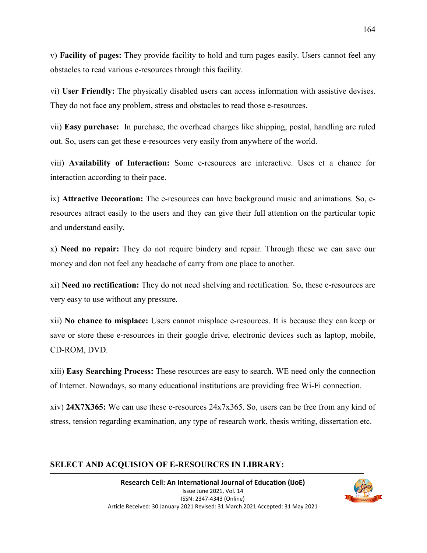v) **Facility of pages:** They provide facility to hold and turn pages easily. Users cannot feel any obstacles to read various e-resources through this facility.

vi) **User Friendly:** The physically disabled users can access information with assistive devises. They do not face any problem, stress and obstacles to read those e-resources.

vii) **Easy purchase:** In purchase, the overhead charges like shipping, postal, handling are ruled out. So, users can get these e-resources very easily from anywhere of the world.

viii) **Availability of Interaction:** Some e-resources are interactive. Uses et a chance for interaction according to their pace.

ix) **Attractive Decoration:** The e-resources can have background music and animations. So, eresources attract easily to the users and they can give their full attention on the particular topic and understand easily.

x) **Need no repair:** They do not require bindery and repair. Through these we can save our money and don not feel any headache of carry from one place to another.

xi) **Need no rectification:** They do not need shelving and rectification. So, these e-resources are very easy to use without any pressure.

xii) **No chance to misplace:** Users cannot misplace e-resources. It is because they can keep or save or store these e-resources in their google drive, electronic devices such as laptop, mobile, CD-ROM, DVD.

xiii) **Easy Searching Process:** These resources are easy to search. WE need only the connection of Internet. Nowadays, so many educational institutions are providing free Wi-Fi connection.

xiv) **24X7X365:** We can use these e-resources 24x7x365. So, users can be free from any kind of stress, tension regarding examination, any type of research work, thesis writing, dissertation etc.

## **SELECT AND ACQUISION OF E-RESOURCES IN LIBRARY:**

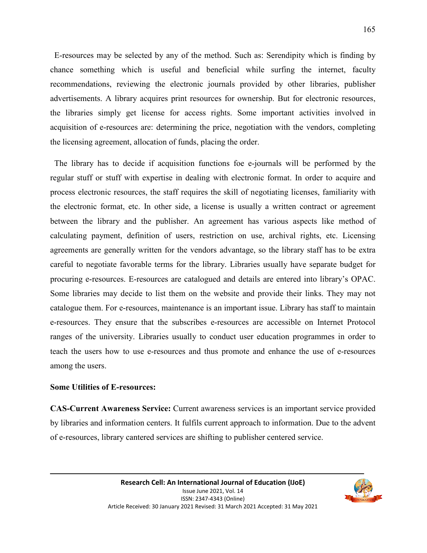E-resources may be selected by any of the method. Such as: Serendipity which is finding by chance something which is useful and beneficial while surfing the internet, faculty recommendations, reviewing the electronic journals provided by other libraries, publisher advertisements. A library acquires print resources for ownership. But for electronic resources, the libraries simply get license for access rights. Some important activities involved in acquisition of e-resources are: determining the price, negotiation with the vendors, completing the licensing agreement, allocation of funds, placing the order.

 The library has to decide if acquisition functions foe e-journals will be performed by the regular stuff or stuff with expertise in dealing with electronic format. In order to acquire and process electronic resources, the staff requires the skill of negotiating licenses, familiarity with the electronic format, etc. In other side, a license is usually a written contract or agreement between the library and the publisher. An agreement has various aspects like method of calculating payment, definition of users, restriction on use, archival rights, etc. Licensing agreements are generally written for the vendors advantage, so the library staff has to be extra careful to negotiate favorable terms for the library. Libraries usually have separate budget for procuring e-resources. E-resources are catalogued and details are entered into library's OPAC. Some libraries may decide to list them on the website and provide their links. They may not catalogue them. For e-resources, maintenance is an important issue. Library has staff to maintain e-resources. They ensure that the subscribes e-resources are accessible on Internet Protocol ranges of the university. Libraries usually to conduct user education programmes in order to teach the users how to use e-resources and thus promote and enhance the use of e-resources among the users.

#### **Some Utilities of E-resources:**

**CAS-Current Awareness Service:** Current awareness services is an important service provided by libraries and information centers. It fulfils current approach to information. Due to the advent of e-resources, library cantered services are shifting to publisher centered service.

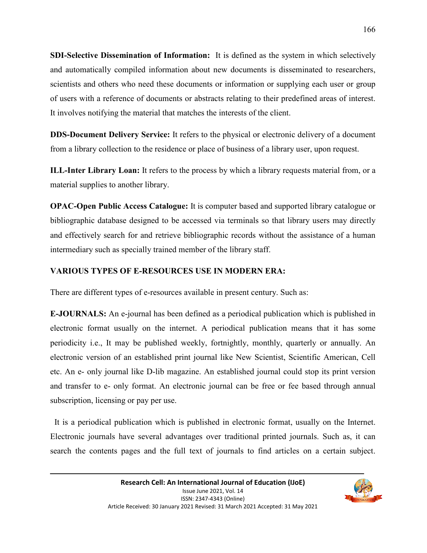**SDI-Selective Dissemination of Information:** It is defined as the system in which selectively and automatically compiled information about new documents is disseminated to researchers, scientists and others who need these documents or information or supplying each user or group of users with a reference of documents or abstracts relating to their predefined areas of interest. It involves notifying the material that matches the interests of the client.

**DDS-Document Delivery Service:** It refers to the physical or electronic delivery of a document from a library collection to the residence or place of business of a library user, upon request.

**ILL-Inter Library Loan:** It refers to the process by which a library requests material from, or a material supplies to another library.

**OPAC-Open Public Access Catalogue:** It is computer based and supported library catalogue or bibliographic database designed to be accessed via terminals so that library users may directly and effectively search for and retrieve bibliographic records without the assistance of a human intermediary such as specially trained member of the library staff.

# **VARIOUS TYPES OF E-RESOURCES USE IN MODERN ERA:**

There are different types of e-resources available in present century. Such as:

**E-JOURNALS:** An e-journal has been defined as a periodical publication which is published in electronic format usually on the internet. A periodical publication means that it has some periodicity i.e., It may be published weekly, fortnightly, monthly, quarterly or annually. An electronic version of an established print journal like New Scientist, Scientific American, Cell etc. An e- only journal like D-lib magazine. An established journal could stop its print version and transfer to e- only format. An electronic journal can be free or fee based through annual subscription, licensing or pay per use.

 It is a periodical publication which is published in electronic format, usually on the Internet. Electronic journals have several advantages over traditional printed journals. Such as, it can search the contents pages and the full text of journals to find articles on a certain subject.

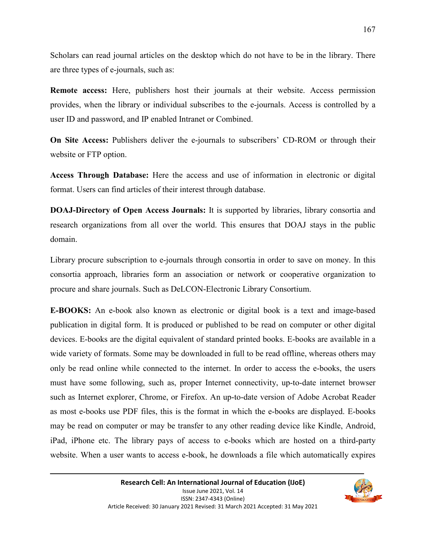Scholars can read journal articles on the desktop which do not have to be in the library. There are three types of e-journals, such as:

**Remote access:** Here, publishers host their journals at their website. Access permission provides, when the library or individual subscribes to the e-journals. Access is controlled by a user ID and password, and IP enabled Intranet or Combined.

**On Site Access:** Publishers deliver the e-journals to subscribers' CD-ROM or through their website or FTP option.

**Access Through Database:** Here the access and use of information in electronic or digital format. Users can find articles of their interest through database.

**DOAJ-Directory of Open Access Journals:** It is supported by libraries, library consortia and research organizations from all over the world. This ensures that DOAJ stays in the public domain.

Library procure subscription to e-journals through consortia in order to save on money. In this consortia approach, libraries form an association or network or cooperative organization to procure and share journals. Such as DeLCON-Electronic Library Consortium.

**E-BOOKS:** An e-book also known as electronic or digital book is a text and image-based publication in digital form. It is produced or published to be read on computer or other digital devices. E-books are the digital equivalent of standard printed books. E-books are available in a wide variety of formats. Some may be downloaded in full to be read offline, whereas others may only be read online while connected to the internet. In order to access the e-books, the users must have some following, such as, proper Internet connectivity, up-to-date internet browser such as Internet explorer, Chrome, or Firefox. An up-to-date version of Adobe Acrobat Reader as most e-books use PDF files, this is the format in which the e-books are displayed. E-books may be read on computer or may be transfer to any other reading device like Kindle, Android, iPad, iPhone etc. The library pays of access to e-books which are hosted on a third-party website. When a user wants to access e-book, he downloads a file which automatically expires

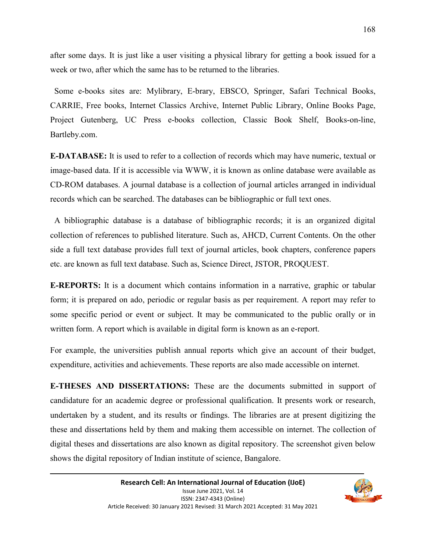after some days. It is just like a user visiting a physical library for getting a book issued for a week or two, after which the same has to be returned to the libraries.

 Some e-books sites are: Mylibrary, E-brary, EBSCO, Springer, Safari Technical Books, CARRIE, Free books, Internet Classics Archive, Internet Public Library, Online Books Page, Project Gutenberg, UC Press e-books collection, Classic Book Shelf, Books-on-line, Bartleby.com.

**E-DATABASE:** It is used to refer to a collection of records which may have numeric, textual or image-based data. If it is accessible via WWW, it is known as online database were available as CD-ROM databases. A journal database is a collection of journal articles arranged in individual records which can be searched. The databases can be bibliographic or full text ones.

 A bibliographic database is a database of bibliographic records; it is an organized digital collection of references to published literature. Such as, AHCD, Current Contents. On the other side a full text database provides full text of journal articles, book chapters, conference papers etc. are known as full text database. Such as, Science Direct, JSTOR, PROQUEST.

**E-REPORTS:** It is a document which contains information in a narrative, graphic or tabular form; it is prepared on ado, periodic or regular basis as per requirement. A report may refer to some specific period or event or subject. It may be communicated to the public orally or in written form. A report which is available in digital form is known as an e-report.

For example, the universities publish annual reports which give an account of their budget, expenditure, activities and achievements. These reports are also made accessible on internet.

**E-THESES AND DISSERTATIONS:** These are the documents submitted in support of candidature for an academic degree or professional qualification. It presents work or research, undertaken by a student, and its results or findings. The libraries are at present digitizing the these and dissertations held by them and making them accessible on internet. The collection of digital theses and dissertations are also known as digital repository. The screenshot given below shows the digital repository of Indian institute of science, Bangalore.

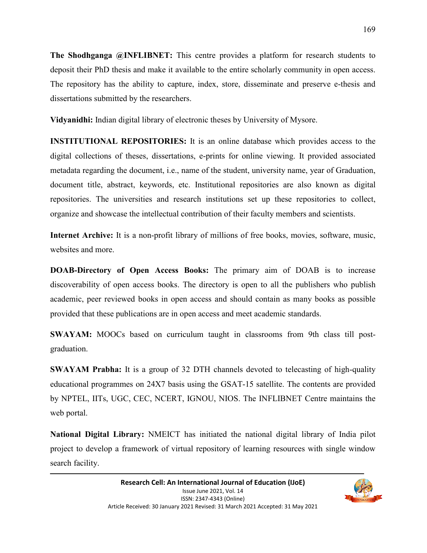**The Shodhganga @INFLIBNET:** This centre provides a platform for research students to deposit their PhD thesis and make it available to the entire scholarly community in open access. The repository has the ability to capture, index, store, disseminate and preserve e-thesis and dissertations submitted by the researchers.

**Vidyanidhi:** Indian digital library of electronic theses by University of Mysore.

**INSTITUTIONAL REPOSITORIES:** It is an online database which provides access to the digital collections of theses, dissertations, e-prints for online viewing. It provided associated metadata regarding the document, i.e., name of the student, university name, year of Graduation, document title, abstract, keywords, etc. Institutional repositories are also known as digital repositories. The universities and research institutions set up these repositories to collect, organize and showcase the intellectual contribution of their faculty members and scientists.

**Internet Archive:** It is a non-profit library of millions of free books, movies, software, music, websites and more.

**DOAB-Directory of Open Access Books:** The primary aim of DOAB is to increase discoverability of open access books. The directory is open to all the publishers who publish academic, peer reviewed books in open access and should contain as many books as possible provided that these publications are in open access and meet academic standards.

**SWAYAM:** MOOCs based on curriculum taught in classrooms from 9th class till postgraduation.

**SWAYAM Prabha:** It is a group of 32 DTH channels devoted to telecasting of high-quality educational programmes on 24X7 basis using the GSAT-15 satellite. The contents are provided by NPTEL, IITs, UGC, CEC, NCERT, IGNOU, NIOS. The INFLIBNET Centre maintains the web portal.

**National Digital Library:** NMEICT has initiated the national digital library of India pilot project to develop a framework of virtual repository of learning resources with single window search facility.

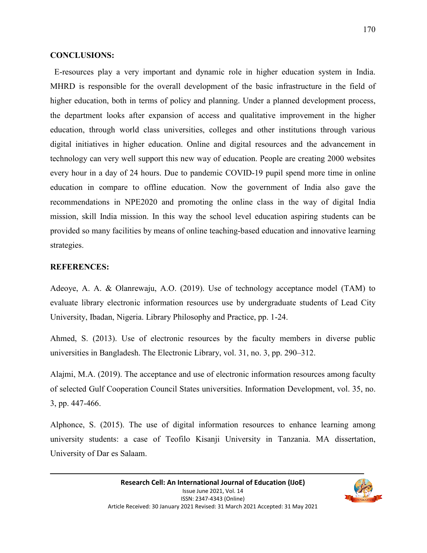# **CONCLUSIONS:**

 E-resources play a very important and dynamic role in higher education system in India. MHRD is responsible for the overall development of the basic infrastructure in the field of higher education, both in terms of policy and planning. Under a planned development process, the department looks after expansion of access and qualitative improvement in the higher education, through world class universities, colleges and other institutions through various digital initiatives in higher education. Online and digital resources and the advancement in technology can very well support this new way of education. People are creating 2000 websites every hour in a day of 24 hours. Due to pandemic COVID-19 pupil spend more time in online education in compare to offline education. Now the government of India also gave the recommendations in NPE2020 and promoting the online class in the way of digital India mission, skill India mission. In this way the school level education aspiring students can be provided so many facilities by means of online teaching-based education and innovative learning strategies.

# **REFERENCES:**

Adeoye, A. A. & Olanrewaju, A.O. (2019). Use of technology acceptance model (TAM) to evaluate library electronic information resources use by undergraduate students of Lead City University, Ibadan, Nigeria. Library Philosophy and Practice, pp. 1-24.

Ahmed, S. (2013). Use of electronic resources by the faculty members in diverse public universities in Bangladesh. The Electronic Library, vol. 31, no. 3, pp. 290–312.

Alajmi, M.A. (2019). The acceptance and use of electronic information resources among faculty of selected Gulf Cooperation Council States universities. Information Development, vol. 35, no. 3, pp. 447-466.

Alphonce, S. (2015). The use of digital information resources to enhance learning among university students: a case of Teofilo Kisanji University in Tanzania. MA dissertation, University of Dar es Salaam.

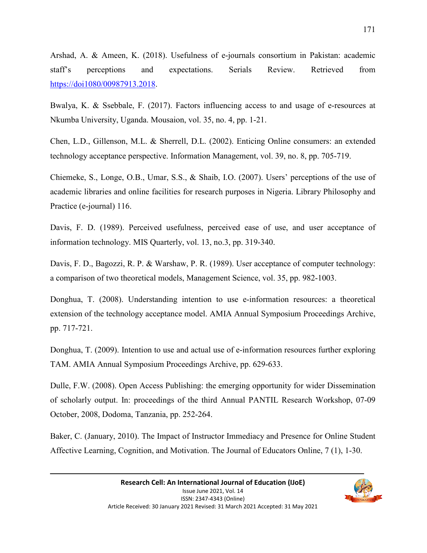Arshad, A. & Ameen, K. (2018). Usefulness of e-journals consortium in Pakistan: academic staff's perceptions and expectations. Serials Review. Retrieved from https://doi1080/00987913.2018.

Bwalya, K. & Ssebbale, F. (2017). Factors influencing access to and usage of e-resources at Nkumba University, Uganda. Mousaion, vol. 35, no. 4, pp. 1-21.

Chen, L.D., Gillenson, M.L. & Sherrell, D.L. (2002). Enticing Online consumers: an extended technology acceptance perspective. Information Management, vol. 39, no. 8, pp. 705-719.

Chiemeke, S., Longe, O.B., Umar, S.S., & Shaib, I.O. (2007). Users' perceptions of the use of academic libraries and online facilities for research purposes in Nigeria. Library Philosophy and Practice (e-journal) 116.

Davis, F. D. (1989). Perceived usefulness, perceived ease of use, and user acceptance of information technology. MIS Quarterly, vol. 13, no.3, pp. 319-340.

Davis, F. D., Bagozzi, R. P. & Warshaw, P. R. (1989). User acceptance of computer technology: a comparison of two theoretical models, Management Science, vol. 35, pp. 982-1003.

Donghua, T. (2008). Understanding intention to use e-information resources: a theoretical extension of the technology acceptance model. AMIA Annual Symposium Proceedings Archive, pp. 717-721.

Donghua, T. (2009). Intention to use and actual use of e-information resources further exploring TAM. AMIA Annual Symposium Proceedings Archive, pp. 629-633.

Dulle, F.W. (2008). Open Access Publishing: the emerging opportunity for wider Dissemination of scholarly output. In: proceedings of the third Annual PANTIL Research Workshop, 07-09 October, 2008, Dodoma, Tanzania, pp. 252-264.

Baker, C. (January, 2010). The Impact of Instructor Immediacy and Presence for Online Student Affective Learning, Cognition, and Motivation. The Journal of Educators Online, 7 (1), 1-30.